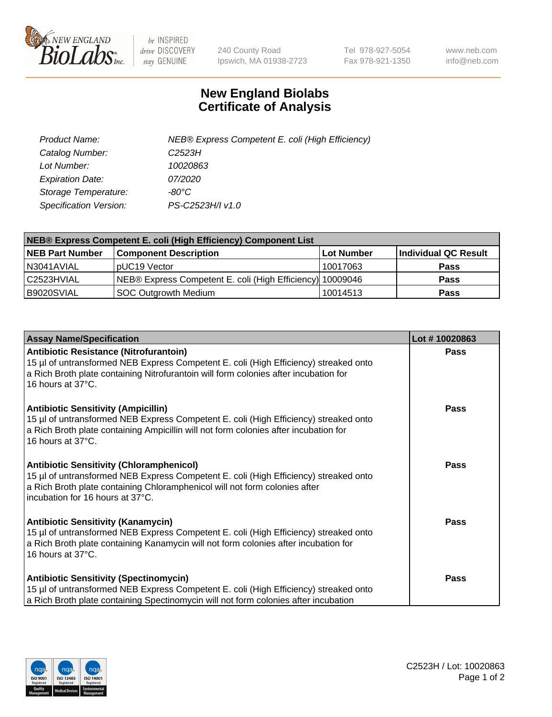

 $be$  INSPIRED drive DISCOVERY stay GENUINE

240 County Road Ipswich, MA 01938-2723 Tel 978-927-5054 Fax 978-921-1350 www.neb.com info@neb.com

## **New England Biolabs Certificate of Analysis**

| Product Name:           | NEB® Express Competent E. coli (High Efficiency) |
|-------------------------|--------------------------------------------------|
| Catalog Number:         | C <sub>2523</sub> H                              |
| Lot Number:             | 10020863                                         |
| <b>Expiration Date:</b> | <i>07/2020</i>                                   |
| Storage Temperature:    | -80°C                                            |
| Specification Version:  | PS-C2523H/I v1.0                                 |

| <b>NEB® Express Competent E. coli (High Efficiency) Component List</b> |                                                           |            |                      |  |
|------------------------------------------------------------------------|-----------------------------------------------------------|------------|----------------------|--|
| <b>NEB Part Number</b>                                                 | <b>Component Description</b>                              | Lot Number | Individual QC Result |  |
| N3041AVIAL                                                             | pUC19 Vector                                              | 10017063   | <b>Pass</b>          |  |
| l C2523HVIAL                                                           | NEB® Express Competent E. coli (High Efficiency) 10009046 |            | <b>Pass</b>          |  |
| B9020SVIAL                                                             | <b>SOC Outgrowth Medium</b>                               | 10014513   | <b>Pass</b>          |  |

| <b>Assay Name/Specification</b>                                                                                                                                                                                                                           | Lot #10020863 |
|-----------------------------------------------------------------------------------------------------------------------------------------------------------------------------------------------------------------------------------------------------------|---------------|
| Antibiotic Resistance (Nitrofurantoin)<br>15 µl of untransformed NEB Express Competent E. coli (High Efficiency) streaked onto<br>a Rich Broth plate containing Nitrofurantoin will form colonies after incubation for<br>16 hours at 37°C.               | <b>Pass</b>   |
| <b>Antibiotic Sensitivity (Ampicillin)</b><br>15 µl of untransformed NEB Express Competent E. coli (High Efficiency) streaked onto<br>a Rich Broth plate containing Ampicillin will not form colonies after incubation for<br>16 hours at 37°C.           | Pass          |
| <b>Antibiotic Sensitivity (Chloramphenicol)</b><br>15 µl of untransformed NEB Express Competent E. coli (High Efficiency) streaked onto<br>a Rich Broth plate containing Chloramphenicol will not form colonies after<br>incubation for 16 hours at 37°C. | Pass          |
| <b>Antibiotic Sensitivity (Kanamycin)</b><br>15 µl of untransformed NEB Express Competent E. coli (High Efficiency) streaked onto<br>a Rich Broth plate containing Kanamycin will not form colonies after incubation for<br>16 hours at 37°C.             | <b>Pass</b>   |
| <b>Antibiotic Sensitivity (Spectinomycin)</b><br>15 µl of untransformed NEB Express Competent E. coli (High Efficiency) streaked onto<br>a Rich Broth plate containing Spectinomycin will not form colonies after incubation                              | Pass          |